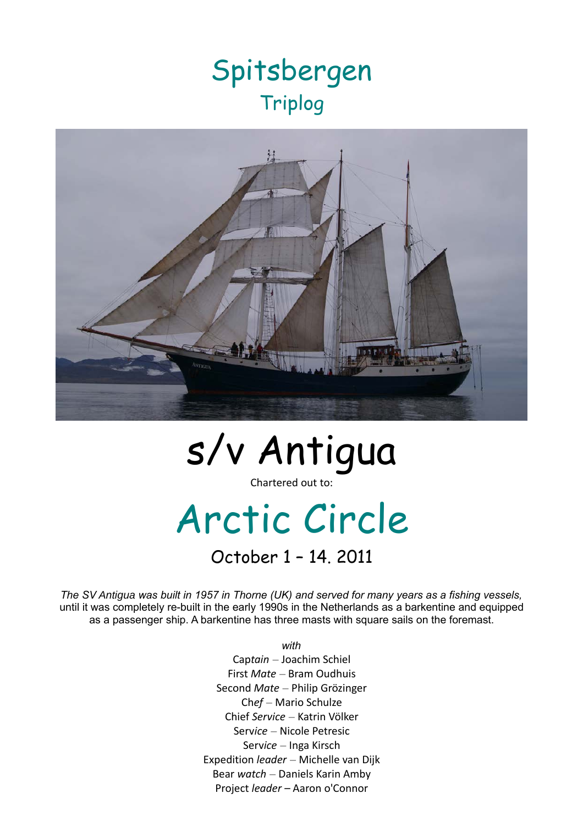## Spitsbergen Triplog



# s/v Antigua

Chartered out to:

# Arctic Circle

October 1 – 14. 2011

*The SV* Antigua *was built in 1957 in Thorne (UK) and served for many years as a fishing vessels,* until it was completely re-built in the early 1990s in the Netherlands as a barkentine and equipped as a passenger ship. A barkentine has three masts with square sails on the foremast.

> *with* Cap*tain* – Joachim Schiel First *Mate* – Bram Oudhuis Second *Mate* – Philip Grözinger Ch*ef* – Mario Schulze Chief *Service* – Katrin Völker Serv*ice* – Nicole Petresic Serv*ice* – Inga Kirsch Expedition *leader* – Michelle van Dijk Bear *watch* – Daniels Karin Amby Project *leader –* Aaron o'Connor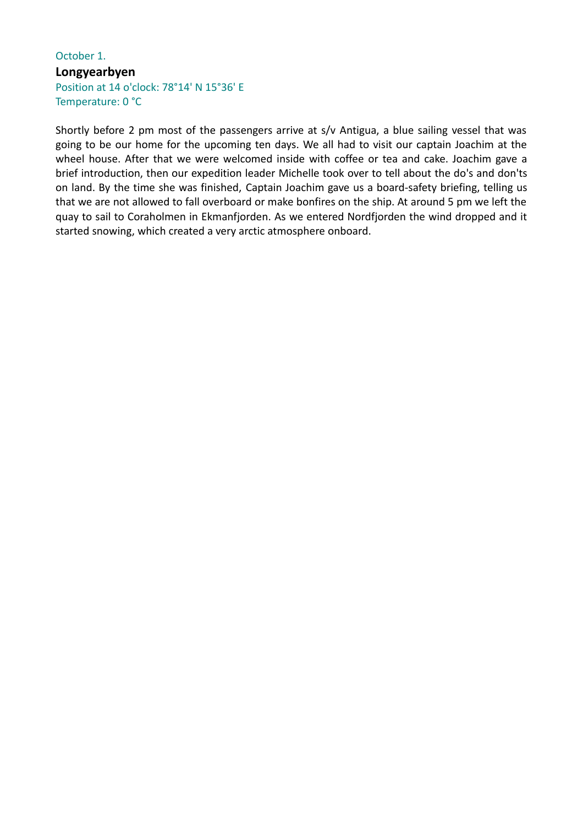#### October 1. **Longyearbyen** Position at 14 o'clock: 78°14' N 15°36' E Temperature: 0 °C

Shortly before 2 pm most of the passengers arrive at s/v Antigua, a blue sailing vessel that was going to be our home for the upcoming ten days. We all had to visit our captain Joachim at the wheel house. After that we were welcomed inside with coffee or tea and cake. Joachim gave a brief introduction, then our expedition leader Michelle took over to tell about the do's and don'ts on land. By the time she was finished, Captain Joachim gave us a board-safety briefing, telling us that we are not allowed to fall overboard or make bonfires on the ship. At around 5 pm we left the quay to sail to Coraholmen in Ekmanfjorden. As we entered Nordfjorden the wind dropped and it started snowing, which created a very arctic atmosphere onboard.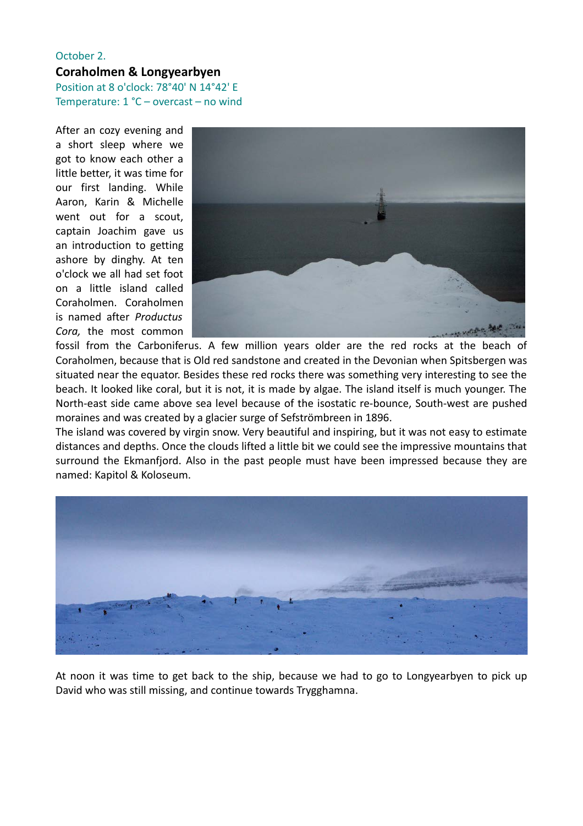### October 2. **Coraholmen & Longyearbyen**

Position at 8 o'clock: 78°40' N 14°42' E Temperature: 1 °C – overcast – no wind

After an cozy evening and a short sleep where we got to know each other a little better, it was time for our first landing. While Aaron, Karin & Michelle went out for a scout, captain Joachim gave us an introduction to getting ashore by dinghy. At ten o'clock we all had set foot on a little island called Coraholmen. Coraholmen is named after *Productus Cora,* the most common



fossil from the Carboniferus. A few million years older are the red rocks at the beach of Coraholmen, because that is Old red sandstone and created in the Devonian when Spitsbergen was situated near the equator. Besides these red rocks there was something very interesting to see the beach. It looked like coral, but it is not, it is made by algae. The island itself is much younger. The North-east side came above sea level because of the isostatic re-bounce, South-west are pushed moraines and was created by a glacier surge of Sefströmbreen in 1896.

The island was covered by virgin snow. Very beautiful and inspiring, but it was not easy to estimate distances and depths. Once the clouds lifted a little bit we could see the impressive mountains that surround the Ekmanfjord. Also in the past people must have been impressed because they are named: Kapitol & Koloseum.



At noon it was time to get back to the ship, because we had to go to Longyearbyen to pick up David who was still missing, and continue towards Trygghamna.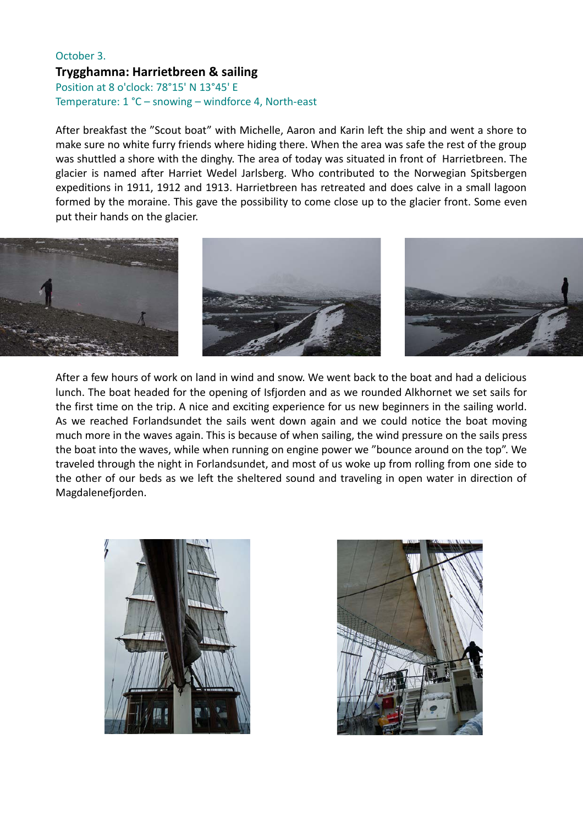#### October 3. **Trygghamna: Harrietbreen & sailing**

Position at 8 o'clock: 78°15' N 13°45' E Temperature: 1 °C – snowing – windforce 4, North-east

After breakfast the "Scout boat" with Michelle, Aaron and Karin left the ship and went a shore to make sure no white furry friends where hiding there. When the area was safe the rest of the group was shuttled a shore with the dinghy. The area of today was situated in front of Harrietbreen. The glacier is named after Harriet Wedel Jarlsberg. Who contributed to the Norwegian Spitsbergen expeditions in 1911, 1912 and 1913. Harrietbreen has retreated and does calve in a small lagoon formed by the moraine. This gave the possibility to come close up to the glacier front. Some even put their hands on the glacier.



After a few hours of work on land in wind and snow. We went back to the boat and had a delicious lunch. The boat headed for the opening of Isfjorden and as we rounded Alkhornet we set sails for the first time on the trip. A nice and exciting experience for us new beginners in the sailing world. As we reached Forlandsundet the sails went down again and we could notice the boat moving much more in the waves again. This is because of when sailing, the wind pressure on the sails press the boat into the waves, while when running on engine power we "bounce around on the top". We traveled through the night in Forlandsundet, and most of us woke up from rolling from one side to the other of our beds as we left the sheltered sound and traveling in open water in direction of Magdalenefjorden.



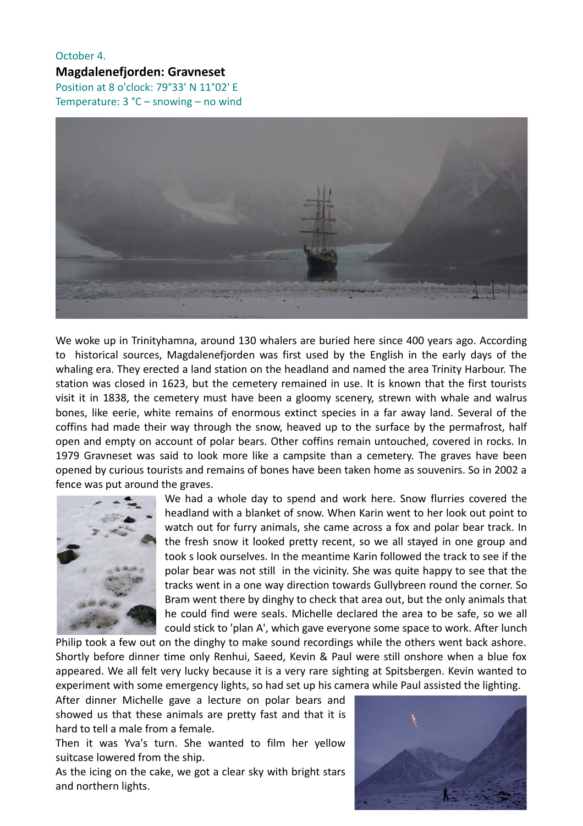#### October 4. **Magdalenefjorden: Gravneset** Position at 8 o'clock: 79°33' N 11°02' E Temperature: 3 °C – snowing – no wind



We woke up in Trinityhamna, around 130 whalers are buried here since 400 years ago. According to historical sources, Magdalenefjorden was first used by the English in the early days of the whaling era. They erected a land station on the headland and named the area Trinity Harbour. The station was closed in 1623, but the cemetery remained in use. It is known that the first tourists visit it in 1838, the cemetery must have been a gloomy scenery, strewn with whale and walrus bones, like eerie, white remains of enormous extinct species in a far away land. Several of the coffins had made their way through the snow, heaved up to the surface by the permafrost, half open and empty on account of polar bears. Other coffins remain untouched, covered in rocks. In 1979 Gravneset was said to look more like a campsite than a cemetery. The graves have been opened by curious tourists and remains of bones have been taken home as souvenirs. So in 2002 a fence was put around the graves.



We had a whole day to spend and work here. Snow flurries covered the headland with a blanket of snow. When Karin went to her look out point to watch out for furry animals, she came across a fox and polar bear track. In the fresh snow it looked pretty recent, so we all stayed in one group and took s look ourselves. In the meantime Karin followed the track to see if the polar bear was not still in the vicinity. She was quite happy to see that the tracks went in a one way direction towards Gullybreen round the corner. So Bram went there by dinghy to check that area out, but the only animals that he could find were seals. Michelle declared the area to be safe, so we all could stick to 'plan A', which gave everyone some space to work. After lunch

Philip took a few out on the dinghy to make sound recordings while the others went back ashore. Shortly before dinner time only Renhui, Saeed, Kevin & Paul were still onshore when a blue fox appeared. We all felt very lucky because it is a very rare sighting at Spitsbergen. Kevin wanted to experiment with some emergency lights, so had set up his camera while Paul assisted the lighting.

After dinner Michelle gave a lecture on polar bears and showed us that these animals are pretty fast and that it is hard to tell a male from a female.

Then it was Yva's turn. She wanted to film her yellow suitcase lowered from the ship.

As the icing on the cake, we got a clear sky with bright stars and northern lights.

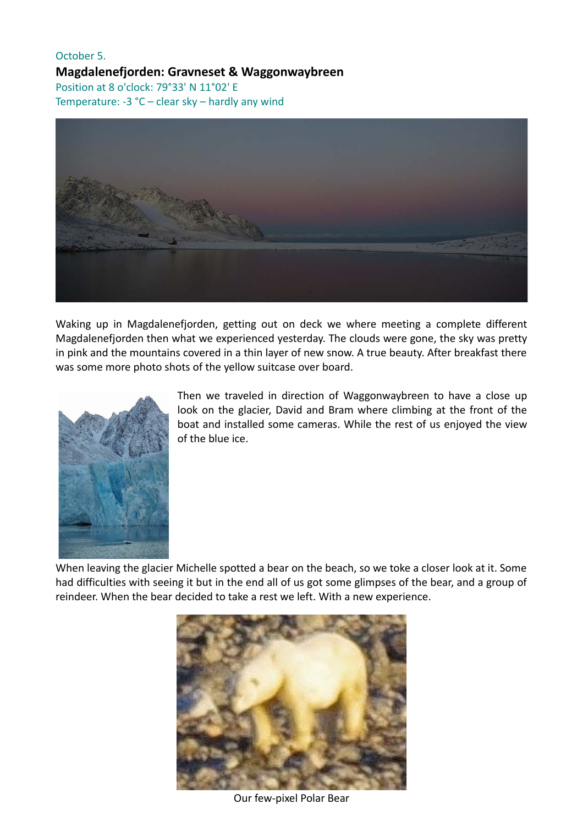#### October 5. **Magdalenefjorden: Gravneset & Waggonwaybreen** Position at 8 o'clock: 79°33' N 11°02' E Temperature: -3 °C – clear sky – hardly any wind



Waking up in Magdalenefjorden, getting out on deck we where meeting a complete different Magdalenefjorden then what we experienced yesterday. The clouds were gone, the sky was pretty in pink and the mountains covered in a thin layer of new snow. A true beauty. After breakfast there was some more photo shots of the yellow suitcase over board.



Then we traveled in direction of Waggonwaybreen to have a close up look on the glacier, David and Bram where climbing at the front of the boat and installed some cameras. While the rest of us enjoyed the view of the blue ice.

When leaving the glacier Michelle spotted a bear on the beach, so we toke a closer look at it. Some had difficulties with seeing it but in the end all of us got some glimpses of the bear, and a group of reindeer. When the bear decided to take a rest we left. With a new experience.



Our few-pixel Polar Bear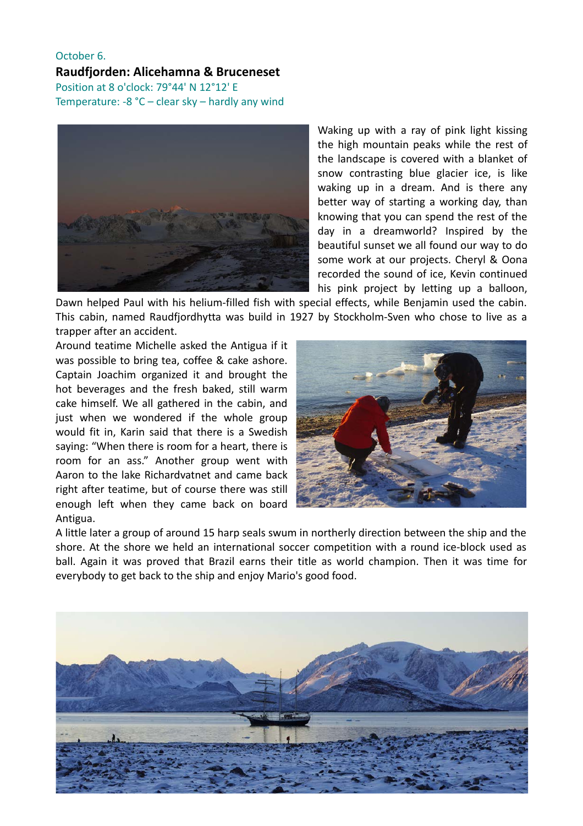#### October 6. **Raudfjorden: Alicehamna & Bruceneset** Position at 8 o'clock: 79°44' N 12°12' E Temperature: -8 °C – clear sky – hardly any wind



Waking up with a ray of pink light kissing the high mountain peaks while the rest of the landscape is covered with a blanket of snow contrasting blue glacier ice, is like waking up in a dream. And is there any better way of starting a working day, than knowing that you can spend the rest of the day in a dreamworld? Inspired by the beautiful sunset we all found our way to do some work at our projects. Cheryl & Oona recorded the sound of ice, Kevin continued his pink project by letting up a balloon,

Dawn helped Paul with his helium-filled fish with special effects, while Benjamin used the cabin. This cabin, named Raudfjordhytta was build in 1927 by Stockholm-Sven who chose to live as a trapper after an accident.

Around teatime Michelle asked the Antigua if it was possible to bring tea, coffee & cake ashore. Captain Joachim organized it and brought the hot beverages and the fresh baked, still warm cake himself. We all gathered in the cabin, and just when we wondered if the whole group would fit in, Karin said that there is a Swedish saying: "When there is room for a heart, there is room for an ass." Another group went with Aaron to the lake Richardvatnet and came back right after teatime, but of course there was still enough left when they came back on board Antigua.



A little later a group of around 15 harp seals swum in northerly direction between the ship and the shore. At the shore we held an international soccer competition with a round ice-block used as ball. Again it was proved that Brazil earns their title as world champion. Then it was time for everybody to get back to the ship and enjoy Mario's good food.

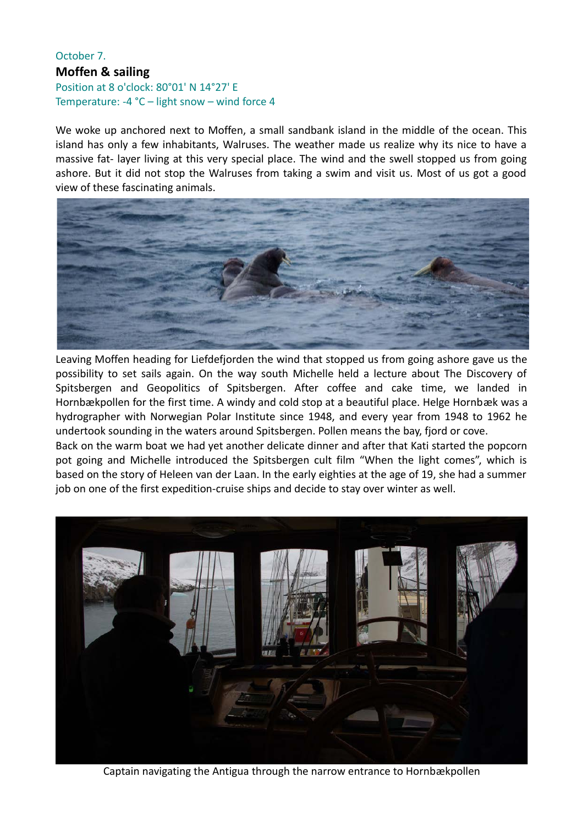#### October 7. **Moffen & sailing** Position at 8 o'clock: 80°01' N 14°27' E Temperature: -4 °C – light snow – wind force 4

We woke up anchored next to Moffen, a small sandbank island in the middle of the ocean. This island has only a few inhabitants, Walruses. The weather made us realize why its nice to have a massive fat- layer living at this very special place. The wind and the swell stopped us from going ashore. But it did not stop the Walruses from taking a swim and visit us. Most of us got a good view of these fascinating animals.



Leaving Moffen heading for Liefdefjorden the wind that stopped us from going ashore gave us the possibility to set sails again. On the way south Michelle held a lecture about The Discovery of Spitsbergen and Geopolitics of Spitsbergen. After coffee and cake time, we landed in Hornbækpollen for the first time. A windy and cold stop at a beautiful place. Helge Hornbæk was a hydrographer with Norwegian Polar Institute since 1948, and every year from 1948 to 1962 he undertook sounding in the waters around Spitsbergen. Pollen means the bay, fjord or cove.

Back on the warm boat we had yet another delicate dinner and after that Kati started the popcorn pot going and Michelle introduced the Spitsbergen cult film "When the light comes", which is based on the story of Heleen van der Laan. In the early eighties at the age of 19, she had a summer job on one of the first expedition-cruise ships and decide to stay over winter as well.



Captain navigating the Antigua through the narrow entrance to Hornbækpollen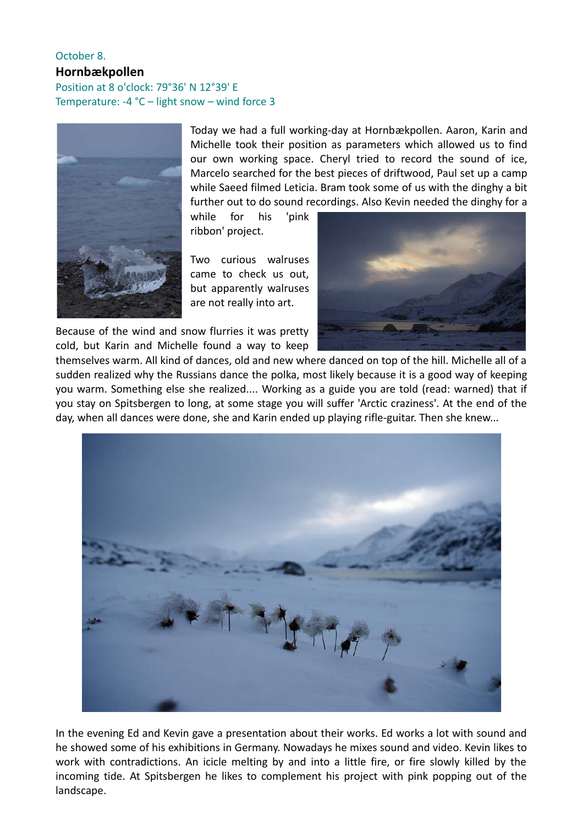#### October 8. **Hornbækpollen** Position at 8 o'clock: 79°36' N 12°39' E Temperature: -4 °C – light snow – wind force 3



Today we had a full working-day at Hornbækpollen. Aaron, Karin and Michelle took their position as parameters which allowed us to find our own working space. Cheryl tried to record the sound of ice, Marcelo searched for the best pieces of driftwood, Paul set up a camp while Saeed filmed Leticia. Bram took some of us with the dinghy a bit further out to do sound recordings. Also Kevin needed the dinghy for a

while for his 'pink ribbon' project.

Two curious walruses came to check us out, but apparently walruses are not really into art.

Because of the wind and snow flurries it was pretty cold, but Karin and Michelle found a way to keep



themselves warm. All kind of dances, old and new where danced on top of the hill. Michelle all of a sudden realized why the Russians dance the polka, most likely because it is a good way of keeping you warm. Something else she realized.... Working as a guide you are told (read: warned) that if you stay on Spitsbergen to long, at some stage you will suffer 'Arctic craziness'. At the end of the day, when all dances were done, she and Karin ended up playing rifle-guitar. Then she knew...



In the evening Ed and Kevin gave a presentation about their works. Ed works a lot with sound and he showed some of his exhibitions in Germany. Nowadays he mixes sound and video. Kevin likes to work with contradictions. An icicle melting by and into a little fire, or fire slowly killed by the incoming tide. At Spitsbergen he likes to complement his project with pink popping out of the landscape.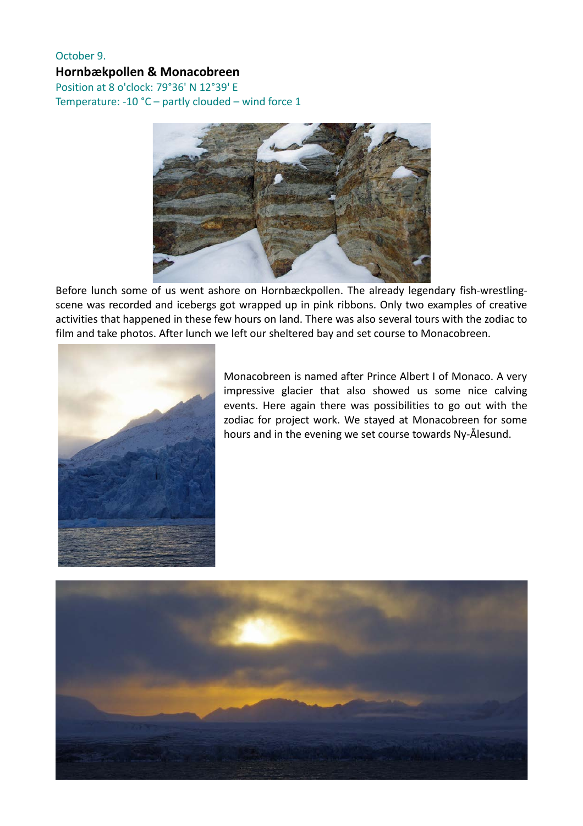#### October 9. **Hornbækpollen & Monacobreen**

Position at 8 o'clock: 79°36' N 12°39' E Temperature: -10 °C – partly clouded – wind force 1



Before lunch some of us went ashore on Hornbæckpollen. The already legendary fish-wrestlingscene was recorded and icebergs got wrapped up in pink ribbons. Only two examples of creative activities that happened in these few hours on land. There was also several tours with the zodiac to film and take photos. After lunch we left our sheltered bay and set course to Monacobreen.



Monacobreen is named after Prince Albert I of Monaco. A very impressive glacier that also showed us some nice calving events. Here again there was possibilities to go out with the zodiac for project work. We stayed at Monacobreen for some hours and in the evening we set course towards Ny-Ålesund.

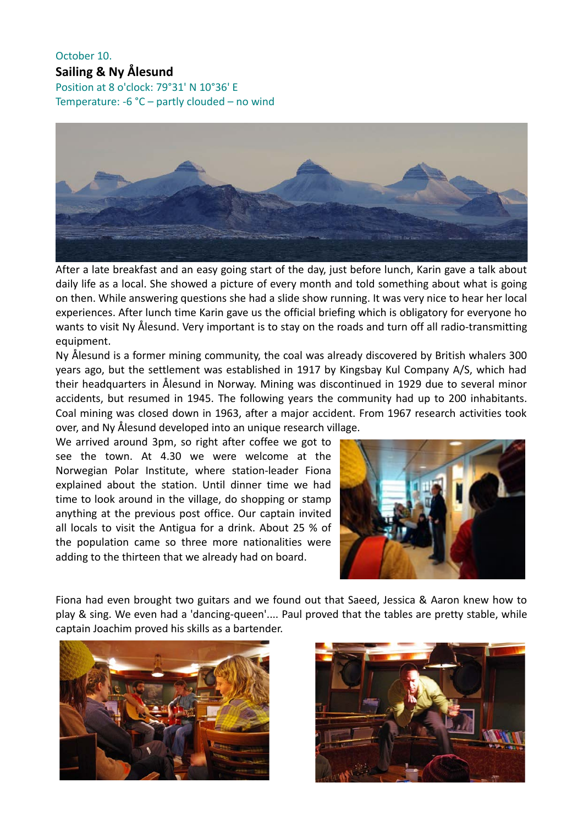### October 10.

**Sailing & Ny Ålesund**  Position at 8 o'clock: 79°31' N 10°36' E Temperature: -6 °C – partly clouded – no wind



After a late breakfast and an easy going start of the day, just before lunch, Karin gave a talk about daily life as a local. She showed a picture of every month and told something about what is going on then. While answering questions she had a slide show running. It was very nice to hear her local experiences. After lunch time Karin gave us the official briefing which is obligatory for everyone ho wants to visit Ny Ålesund. Very important is to stay on the roads and turn off all radio-transmitting equipment.

Ny Ålesund is a former mining community, the coal was already discovered by British whalers 300 years ago, but the settlement was established in 1917 by Kingsbay Kul Company A/S, which had their headquarters in Ålesund in Norway. Mining was discontinued in 1929 due to several minor accidents, but resumed in 1945. The following years the community had up to 200 inhabitants. Coal mining was closed down in 1963, after a major accident. From 1967 research activities took over, and Ny Ålesund developed into an unique research village.

We arrived around 3pm, so right after coffee we got to see the town. At 4.30 we were welcome at the Norwegian Polar Institute, where station-leader Fiona explained about the station. Until dinner time we had time to look around in the village, do shopping or stamp anything at the previous post office. Our captain invited all locals to visit the Antigua for a drink. About 25 % of the population came so three more nationalities were adding to the thirteen that we already had on board.



Fiona had even brought two guitars and we found out that Saeed, Jessica & Aaron knew how to play & sing. We even had a 'dancing-queen'.... Paul proved that the tables are pretty stable, while captain Joachim proved his skills as a bartender.



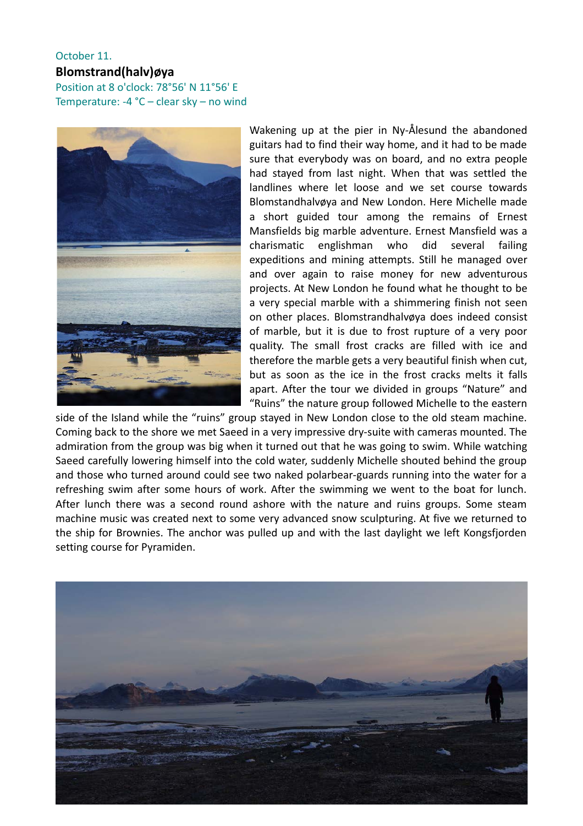#### October 11.

#### **Blomstrand(halv)øya**

Position at 8 o'clock: 78°56' N 11°56' E Temperature: -4 °C – clear sky – no wind



Wakening up at the pier in Ny-Ålesund the abandoned guitars had to find their way home, and it had to be made sure that everybody was on board, and no extra people had stayed from last night. When that was settled the landlines where let loose and we set course towards Blomstandhalvøya and New London. Here Michelle made a short guided tour among the remains of Ernest Mansfields big marble adventure. Ernest Mansfield was a charismatic englishman who did several failing expeditions and mining attempts. Still he managed over and over again to raise money for new adventurous projects. At New London he found what he thought to be a very special marble with a shimmering finish not seen on other places. Blomstrandhalvøya does indeed consist of marble, but it is due to frost rupture of a very poor quality. The small frost cracks are filled with ice and therefore the marble gets a very beautiful finish when cut, but as soon as the ice in the frost cracks melts it falls apart. After the tour we divided in groups "Nature" and "Ruins" the nature group followed Michelle to the eastern

side of the Island while the "ruins" group stayed in New London close to the old steam machine. Coming back to the shore we met Saeed in a very impressive dry-suite with cameras mounted. The admiration from the group was big when it turned out that he was going to swim. While watching Saeed carefully lowering himself into the cold water, suddenly Michelle shouted behind the group and those who turned around could see two naked polarbear-guards running into the water for a refreshing swim after some hours of work. After the swimming we went to the boat for lunch. After lunch there was a second round ashore with the nature and ruins groups. Some steam machine music was created next to some very advanced snow sculpturing. At five we returned to the ship for Brownies. The anchor was pulled up and with the last daylight we left Kongsfjorden setting course for Pyramiden.

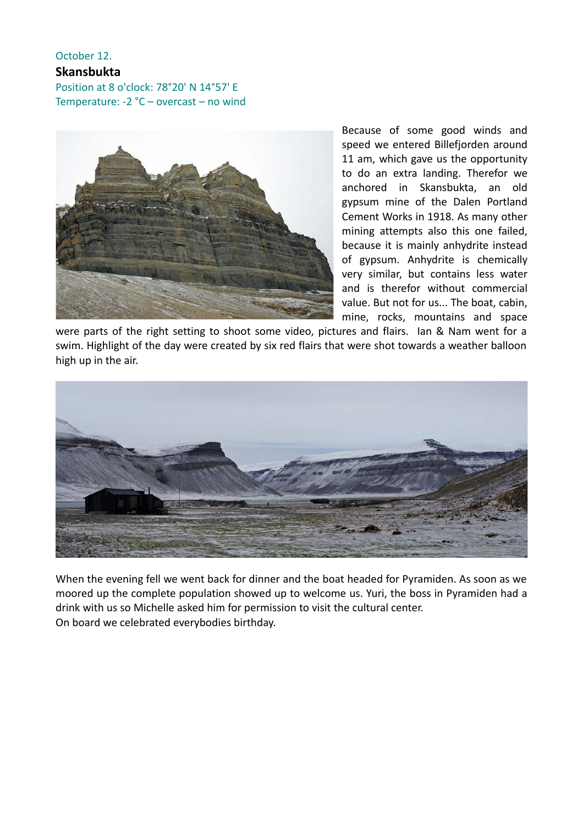#### October 12. **Skansbukta**

Position at 8 o'clock: 78°20' N 14°57' E Temperature: -2 °C – overcast – no wind



Because of some good winds and speed we entered Billefjorden around 11 am, which gave us the opportunity to do an extra landing. Therefor we anchored in Skansbukta, an old gypsum mine of the Dalen Portland Cement Works in 1918. As many other mining attempts also this one failed, because it is mainly anhydrite instead of gypsum. Anhydrite is chemically very similar, but contains less water and is therefor without commercial value. But not for us... The boat, cabin, mine, rocks, mountains and space

were parts of the right setting to shoot some video, pictures and flairs. Ian & Nam went for a swim. Highlight of the day were created by six red flairs that were shot towards a weather balloon high up in the air.



When the evening fell we went back for dinner and the boat headed for Pyramiden. As soon as we moored up the complete population showed up to welcome us. Yuri, the boss in Pyramiden had a drink with us so Michelle asked him for permission to visit the cultural center. On board we celebrated everybodies birthday.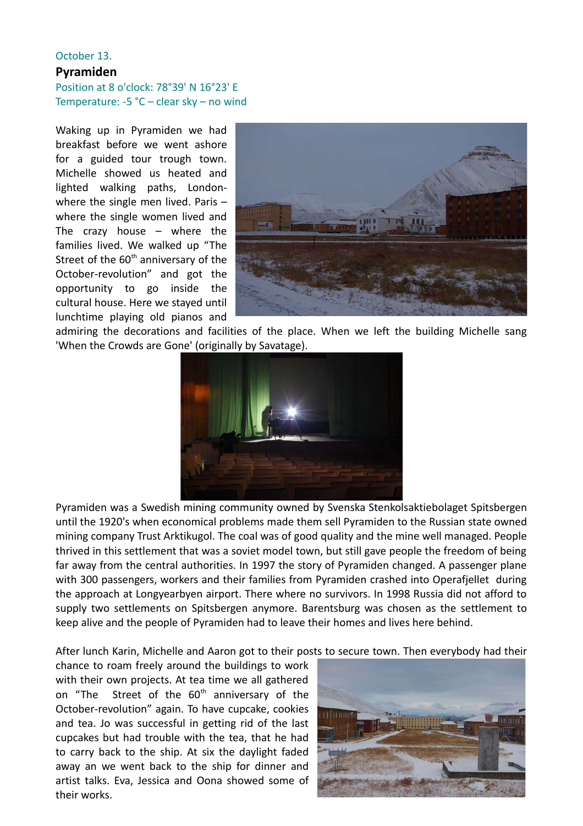#### October 13. **Pyramiden** Position at 8 o'clock: 78°39' N 16°23' E Temperature: -5 °C – clear sky – no wind

Waking up in Pyramiden we had breakfast before we went ashore for a guided tour trough town. Michelle showed us heated and lighted walking paths, Londonwhere the single men lived. Paris – where the single women lived and The crazy house – where the families lived. We walked up "The Street of the  $60<sup>th</sup>$  anniversary of the October-revolution" and got the opportunity to go inside the cultural house. Here we stayed until lunchtime playing old pianos and



admiring the decorations and facilities of the place. When we left the building Michelle sang 'When the Crowds are Gone' (originally by Savatage).



Pyramiden was a Swedish mining community owned by Svenska Stenkolsaktiebolaget Spitsbergen until the 1920's when economical problems made them sell Pyramiden to the Russian state owned mining company Trust Arktikugol. The coal was of good quality and the mine well managed. People thrived in this settlement that was a soviet model town, but still gave people the freedom of being far away from the central authorities. In 1997 the story of Pyramiden changed. A passenger plane with 300 passengers, workers and their families from Pyramiden crashed into Operafjellet during the approach at Longyearbyen airport. There where no survivors. In 1998 Russia did not afford to supply two settlements on Spitsbergen anymore. Barentsburg was chosen as the settlement to keep alive and the people of Pyramiden had to leave their homes and lives here behind.

After lunch Karin, Michelle and Aaron got to their posts to secure town. Then everybody had their

chance to roam freely around the buildings to work with their own projects. At tea time we all gathered on "The Street of the 60<sup>th</sup> anniversary of the October-revolution" again. To have cupcake, cookies and tea. Jo was successful in getting rid of the last cupcakes but had trouble with the tea, that he had to carry back to the ship. At six the daylight faded away an we went back to the ship for dinner and artist talks. Eva, Jessica and Oona showed some of their works.

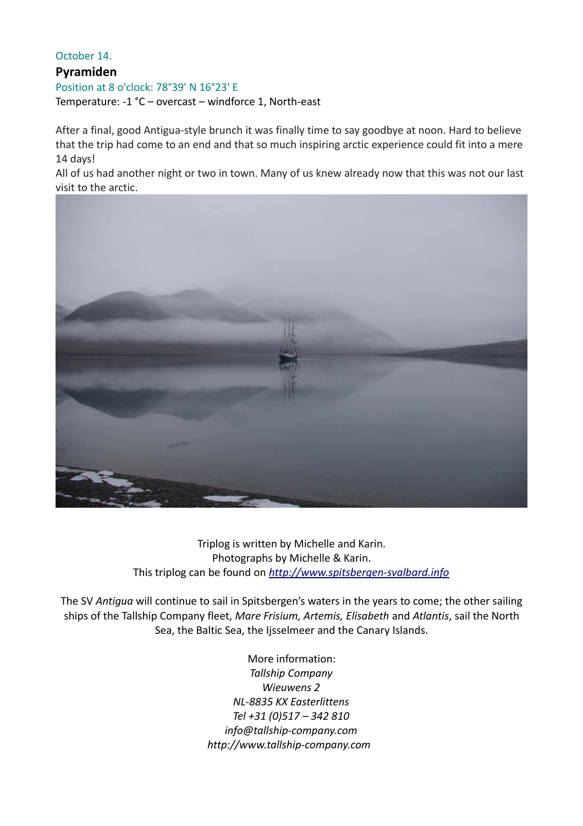#### October 14.

#### **Pyramiden**

Position at 8 o'clock: 78°39' N 16°23' E Temperature: -1 °C – overcast – windforce 1, North-east

After a final, good Antigua-style brunch it was finally time to say goodbye at noon. Hard to believe that the trip had come to an end and that so much inspiring arctic experience could fit into a mere 14 days!

All of us had another night or two in town. Many of us knew already now that this was not our last visit to the arctic.



Triplog is written by Michelle and Karin. Photographs by Michelle & Karin. This triplog can be found on *[http://www.spitsbergen-svalbard. i](http://www.spitsbergen-svalbard.nl/)nfo*

The SV *Antigua* will continue to sail in Spitsbergen's waters in the years to come; the other sailing ships of the Tallship Company fleet, *Mare Frisium, Artemis, Elisabeth* and *Atlantis*, sail the North Sea, the Baltic Sea, the Ijsselmeer and the Canary Islands.

> More information: *Tallship Company Wieuwens 2 NL-8835 KX Easterlittens Tel +31 (0)517 – 342 810 info@tallship-company.com http://www.tallship-company.com*